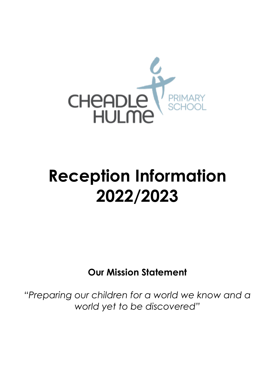

# **Reception Information 2022/2023**

**Our Mission Statement**

*"Preparing our children for a world we know and a world yet to be discovered"*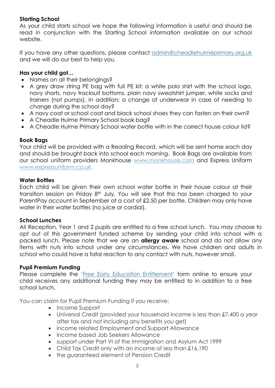# **Starting School**

As your child starts school we hope the following information is useful and should be read in conjunction with the Starting School information available on our school website.

If you have any other questions, please contact [admin@cheadlehulmeprimary.org.uk](admin@cheadlehulmeprimary.org.uk%20) and we will do our best to help you.

## **Has your child got…**

- Names on all their belongings?
- A grey draw string PE bag with full PE kit: a white polo shirt with the school logo, navy shorts, navy tracksuit bottoms, plain navy sweatshirt jumper, white socks and trainers (not pumps). In addition; a change of underwear in case of needing to change during the school day?
- A navy coat or school coat and black school shoes they can fasten on their own?
- A Cheadle Hulme Primary School book bag?
- A Cheadle Hulme Primary School water bottle with in the correct house colour lid?

# **Book Bags**

Your child will be provided with a Reading Record, which will be sent home each day and should be brought back into school each morning. Book Bags are available from our school uniform providers Monkhouse [www.monkhouse.com](http://www.monkhouse.com/) and Express Uniform www.expressuniform.co.uk.

## **Water Bottles**

Each child will be given their own school water bottle in their house colour at their transition session on Friday 8th July. You will see that this has been charged to your ParentPay account in September at a cost of £2.50 per bottle. Children may only have water in their water bottles (no juice or cordial).

## **School Lunches**

All Reception, Year 1 and 2 pupils are entitled to a free school lunch. You may choose to opt out of this government funded scheme by sending your child into school with a packed lunch. Please note that we are an **allergy aware** school and do not allow any items with nuts into school under any circumstances. We have children and adults in school who could have a fatal reaction to any contact with nuts, however small.

## **Pupil Premium Funding**

Please complete the '[Free Early Education Entitlement](https://www.stockport.gov.uk/start/free-school-meals-application-form)' form online to ensure your child receives any additional funding they may be entitled to in addition to a free school lunch.

You can claim for Pupil Premium Funding if you receive:

- Income Support
- Universal Credit (provided your household income is less than £7,400 a year after tax and not including any benefits you get)
- income related Employment and Support Allowance
- income based Job Seekers Allowance
- support under Part VI of the Immigration and Asylum Act 1999
- Child Tax Credit only with an income of less than £16,190
- the guaranteed element of Pension Credit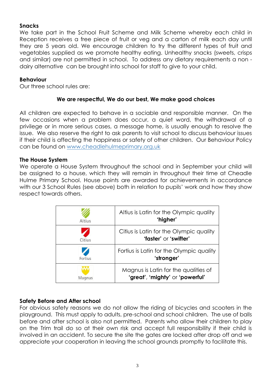## **Snacks**

We take part in the School Fruit Scheme and Milk Scheme whereby each child in Reception receives a free piece of fruit or veg and a carton of milk each day until they are 5 years old. We encourage children to try the different types of fruit and vegetables supplied as we promote healthy eating. Unhealthy snacks (sweets, crisps and similar) are not permitted in school. To address any dietary requirements a non dairy alternative can be brought into school for staff to give to your child.

# **Behaviour**

Our three school rules are:

# **We are respectful, We do our best, We make good choices**

All children are expected to behave in a sociable and responsible manner. On the few occasions when a problem does occur, a quiet word, the withdrawal of a privilege or in more serious cases, a message home, is usually enough to resolve the issue. We also reserve the right to ask parents to visit school to discuss behaviour issues if their child is affecting the happiness or safety of other children. Our Behaviour Policy can be found on<www.cheadlehulmeprimary.org.uk>

## **The House System**

We operate a House System throughout the school and in September your child will be assigned to a house, which they will remain in throughout their time at Cheadle Hulme Primary School. House points are awarded for achievements in accordance with our 3 School Rules (see above) both in relation to pupils' work and how they show respect towards others.

| <b>Altius</b> | Altius is Latin for the Olympic quality<br>'higher'                     |
|---------------|-------------------------------------------------------------------------|
| Citius        | Citius is Latin for the Olympic quality<br>"faster" or "swifter"        |
| Fortius       | Fortius is Latin for the Olympic quality<br>'stronger'                  |
| Magnus        | Magnus is Latin for the qualities of<br>'great', 'mighty' or 'powerful' |

## **Safety Before and After school**

For obvious safety reasons we do not allow the riding of bicycles and scooters in the playground. This must apply to adults, pre-school and school children. The use of balls before and after school is also not permitted. Parents who allow their children to play on the Trim trail do so at their own risk and accept full responsibility if their child is involved in an accident. To secure the site the gates are locked after drop off and we appreciate your cooperation in leaving the school grounds promptly to facilitate this.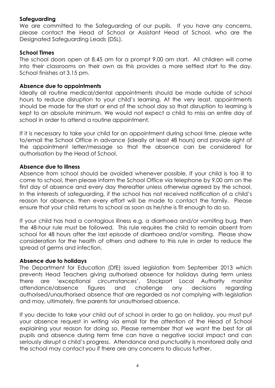## **Safeguarding**

We are committed to the Safeguarding of our pupils. If you have any concerns, please contact the Head of School or Assistant Head of School, who are the Designated Safeguarding Leads (DSL).

#### **School Times**

The school doors open at 8.45 am for a prompt 9.00 am start. All children will come into their classrooms on their own as this provides a more settled start to the day. School finishes at 3.15 pm.

#### **Absence due to appointments**

Ideally all routine medical/dental appointments should be made outside of school hours to reduce disruption to your child's learning. At the very least, appointments should be made for the start or end of the school day so that disruption to learning is kept to an absolute minimum. We would not expect a child to miss an entire day of school in order to attend a routine appointment.

If it is necessary to take your child for an appointment during school time, please write to/email the School Office in advance (ideally at least 48 hours) and provide sight of the appointment letter/message so that the absence can be considered for authorisation by the Head of School.

#### **Absence due to illness**

Absence from school should be avoided whenever possible. If your child is too ill to come to school, then please inform the School Office via telephone by 9.00 am on the first day of absence and every day thereafter unless otherwise agreed by the school. In the interests of safeguarding, if the school has not received notification of a child's reason for absence, then every effort will be made to contact the family. Please ensure that your child returns to school as soon as he/she is fit enough to do so.

If your child has had a contagious illness e.g. a diarrhoea and/or vomiting bug, then the 48-hour rule must be followed. This rule requires the child to remain absent from school for 48 hours after the last episode of diarrhoea and/or vomiting. Please show consideration for the health of others and adhere to this rule in order to reduce the spread of germs and infection.

#### **Absence due to holidays**

The Department for Education (DfE) issued legislation from September 2013 which prevents Head Teachers giving authorised absence for holidays during term unless there are 'exceptional circumstances'. Stockport Local Authority monitor attendance/absence figures and challenge any decisions regarding authorised/unauthorised absence that are regarded as not complying with legislation and may, ultimately, fine parents for unauthorised absence.

If you decide to take your child out of school in order to go on holiday, you must put your absence request in writing via email for the attention of the Head of School explaining your reason for doing so. Please remember that we want the best for all pupils and absence during term time can have a negative social impact and can seriously disrupt a child's progress. Attendance and punctuality is monitored daily and the school may contact you if there are any concerns to discuss further.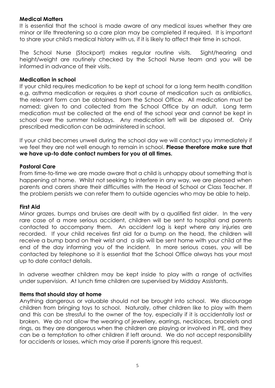# **Medical Matters**

It is essential that the school is made aware of any medical issues whether they are minor or life threatening so a care plan may be completed if required. It is important to share your child's medical history with us, if it is likely to affect their time in school.

The School Nurse (Stockport) makes regular routine visits. Sight/hearing and height/weight are routinely checked by the School Nurse team and you will be informed in advance of their visits.

# **Medication in school**

If your child requires medication to be kept at school for a long term health condition e.g. asthma medication or requires a short course of medication such as antibiotics, the relevant form can be obtained from the School Office. All medication must be named; given to and collected from the School Office by an adult. Long term medication must be collected at the end of the school year and cannot be kept in school over the summer holidays. Any medication left will be disposed of. Only prescribed medication can be administered in school.

If your child becomes unwell during the school day we will contact you immediately if we feel they are not well enough to remain in school. **Please therefore make sure that we have up-to date contact numbers for you at all times.**

## **Pastoral Care**

From time-to-time we are made aware that a child is unhappy about something that is happening at home. Whilst not seeking to interfere in any way, we are pleased when parents and carers share their difficulties with the Head of School or Class Teacher. If the problem persists we can refer them to outside agencies who may be able to help.

## **First Aid**

Minor grazes, bumps and bruises are dealt with by a qualified first aider. In the very rare case of a more serious accident, children will be sent to hospital and parents contacted to accompany them. An accident log is kept where any injuries are recorded. If your child receives first aid for a bump on the head, the children will receive a bump band on their wrist and a slip will be sent home with your child at the end of the day informing you of the incident. In more serious cases, you will be contacted by telephone so it is essential that the School Office always has your most up to date contact details.

In adverse weather children may be kept inside to play with a range of activities under supervision. At lunch time children are supervised by Midday Assistants.

## **Items that should stay at home**

Anything dangerous or valuable should not be brought into school. We discourage children from bringing toys to school. Naturally, other children like to play with them and this can be stressful to the owner of the toy, especially if it is accidentally lost or broken. We do not allow the wearing of jewellery, earrings, necklaces, bracelets and rings, as they are dangerous when the children are playing or involved in PE, and they can be a temptation to other children if left around. We do not accept responsibility for accidents or losses, which may arise if parents ignore this request.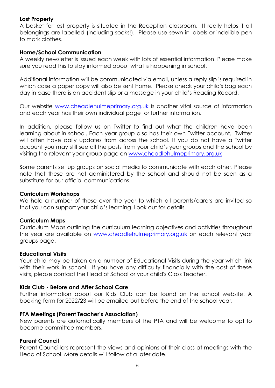#### **Lost Property**

A basket for lost property is situated in the Reception classroom. It really helps if all belongings are labelled (including socks!). Please use sewn in labels or indelible pen to mark clothes.

#### **Home/School Communication**

A weekly newsletter is issued each week with lots of essential information. Please make sure you read this to stay informed about what is happening in school.

Additional information will be communicated via email, unless a reply slip is required in which case a paper copy will also be sent home. Please check your child's bag each day in case there is an accident slip or a message in your child's Reading Record.

Our website [www.cheadlehulmeprimary.org.uk](http://www.cheadlehulmeprimary.org.uk/) is another vital source of information and each year has their own individual page for further information.

In addition, please follow us on Twitter to find out what the children have been learning about in school. Each year group also has their own Twitter account. Twitter will often have daily updates from across the school. If you do not have a Twitter account you may still see all the posts from your child's year groups and the school by visiting the relevant year group page on [www.cheadlehulmeprimary.org.uk](http://www.cheadlehulmeprimary.org.uk/)

Some parents set up groups on social media to communicate with each other. Please note that these are not administered by the school and should not be seen as a substitute for our official communications.

#### **Curriculum Workshops**

We hold a number of these over the year to which all parents/carers are invited so that you can support your child's learning. Look out for details.

#### **Curriculum Maps**

Curriculum Maps outlining the curriculum learning objectives and activities throughout the year are available on [www.cheadlehulmeprimary.org.uk](http://www.cheadlehulmeprimary.org.uk/) on each relevant year groups page.

#### **Educational Visits**

Your child may be taken on a number of Educational Visits during the year which link with their work in school. If you have any difficulty financially with the cost of these visits, please contact the Head of School or your child's Class Teacher.

#### **Kids Club - Before and After School Care**

Further information about our Kids Club can be found on the school website. A booking form for 2022/23 will be emailed out before the end of the school year.

#### **PTA Meetings (Parent Teacher's Association)**

New parents are automatically members of the PTA and will be welcome to opt to become committee members.

#### **Parent Council**

Parent Councillors represent the views and opinions of their class at meetings with the Head of School. More details will follow at a later date.